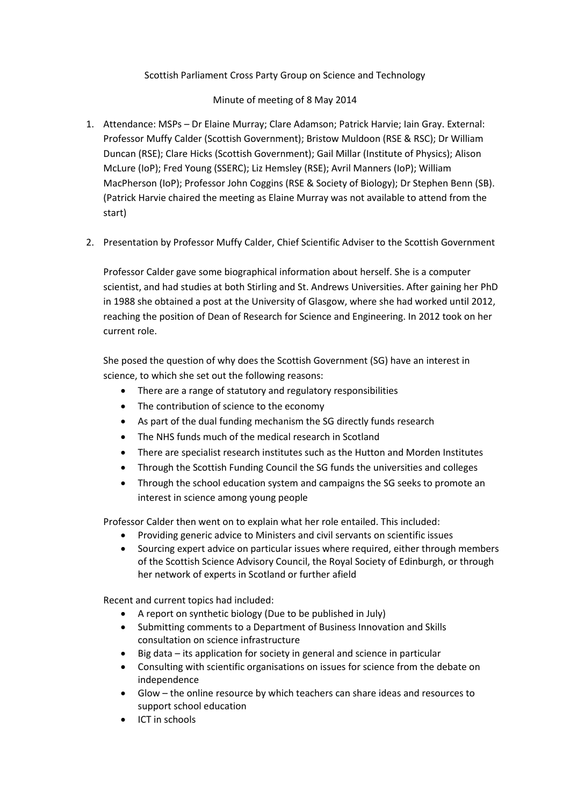## Scottish Parliament Cross Party Group on Science and Technology

## Minute of meeting of 8 May 2014

- 1. Attendance: MSPs Dr Elaine Murray; Clare Adamson; Patrick Harvie; Iain Gray. External: Professor Muffy Calder (Scottish Government); Bristow Muldoon (RSE & RSC); Dr William Duncan (RSE); Clare Hicks (Scottish Government); Gail Millar (Institute of Physics); Alison McLure (IoP); Fred Young (SSERC); Liz Hemsley (RSE); Avril Manners (IoP); William MacPherson (IoP); Professor John Coggins (RSE & Society of Biology); Dr Stephen Benn (SB). (Patrick Harvie chaired the meeting as Elaine Murray was not available to attend from the start)
- 2. Presentation by Professor Muffy Calder, Chief Scientific Adviser to the Scottish Government

Professor Calder gave some biographical information about herself. She is a computer scientist, and had studies at both Stirling and St. Andrews Universities. After gaining her PhD in 1988 she obtained a post at the University of Glasgow, where she had worked until 2012, reaching the position of Dean of Research for Science and Engineering. In 2012 took on her current role.

She posed the question of why does the Scottish Government (SG) have an interest in science, to which she set out the following reasons:

- There are a range of statutory and regulatory responsibilities
- The contribution of science to the economy
- As part of the dual funding mechanism the SG directly funds research
- The NHS funds much of the medical research in Scotland
- There are specialist research institutes such as the Hutton and Morden Institutes
- Through the Scottish Funding Council the SG funds the universities and colleges
- Through the school education system and campaigns the SG seeks to promote an interest in science among young people

Professor Calder then went on to explain what her role entailed. This included:

- Providing generic advice to Ministers and civil servants on scientific issues
- Sourcing expert advice on particular issues where required, either through members of the Scottish Science Advisory Council, the Royal Society of Edinburgh, or through her network of experts in Scotland or further afield

Recent and current topics had included:

- A report on synthetic biology (Due to be published in July)
- Submitting comments to a Department of Business Innovation and Skills consultation on science infrastructure
- Big data its application for society in general and science in particular
- Consulting with scientific organisations on issues for science from the debate on independence
- Glow the online resource by which teachers can share ideas and resources to support school education
- ICT in schools